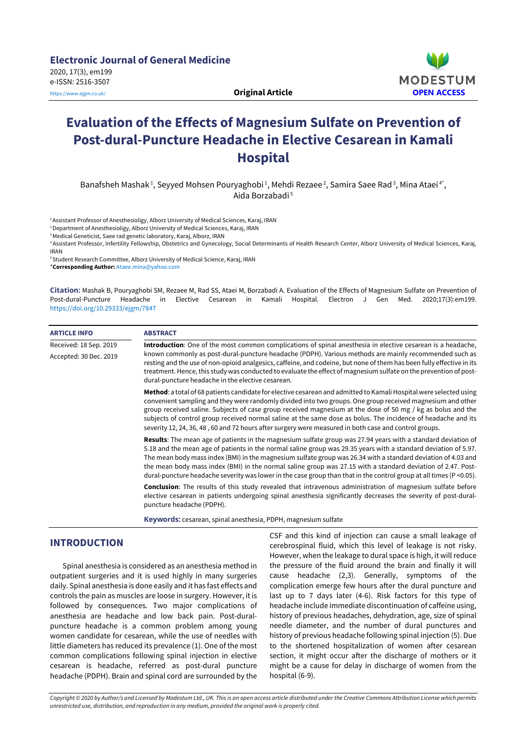**Electronic Journal of General Medicine** 2020, 17(3), em199 e-ISSN: 2516-3507 <https://www.ejgm.co.uk/> **Original Article OPEN ACCESS**



# **Evaluation of the Effects of Magnesium Sulfate on Prevention of Post-dural-Puncture Headache in Elective Cesarean in Kamali Hospital**

Banafsheh Mashak<sup>1</sup>, Seyyed Mohsen Pouryaghobi<sup>1</sup>, Mehdi Rezaee<sup>2</sup>, Samira Saee Rad<sup>3</sup>, Mina Ataei<sup>4</sup><sup>\*</sup>, Aida Borzabadi<sup>5</sup>

<sup>1</sup> Assistant Professor of Anesthesioligy, Alborz University of Medical Sciences, Karaj, IRAN

<sup>2</sup> Department of Anesthesioligy, Alborz University of Medical Sciences, Karaj, IRAN

<sup>3</sup> Medical Geneticist, Saee rad genetic laboratory, Karaj, Alborz, IRAN

<sup>4</sup> Assistant Professor, Infertility Fellowship, Obstetrics and Gynecology, Social Determinants of Health Research Center, Alborz University of Medical Sciences, Karaj, IRAN

<sup>5</sup> Student Research Committee, Alborz University of Medical Science, Karaj, IRAN

\***Corresponding Author:** [Ataee.mina@yahoo.com](mailto:Ataee.mina@yahoo.com)

**Citation:** Mashak B, Pouryaghobi SM, Rezaee M, Rad SS, Ataei M, Borzabadi A. Evaluation of the Effects of Magnesium Sulfate on Prevention of Post-dural-Puncture Headache in Elective Cesarean in Kamali Hospital. Electron J Gen Med. 2020;17(3):em199. <https://doi.org/10.29333/ejgm/7847>

| <b>ARTICLE INFO</b>    | <b>ABSTRACT</b>                                                                                                                                                                                                                                                                                                                                                                                                                                                                                                                                                                                 |
|------------------------|-------------------------------------------------------------------------------------------------------------------------------------------------------------------------------------------------------------------------------------------------------------------------------------------------------------------------------------------------------------------------------------------------------------------------------------------------------------------------------------------------------------------------------------------------------------------------------------------------|
| Received: 18 Sep. 2019 | Introduction: One of the most common complications of spinal anesthesia in elective cesarean is a headache,                                                                                                                                                                                                                                                                                                                                                                                                                                                                                     |
| Accepted: 30 Dec. 2019 | known commonly as post-dural-puncture headache (PDPH). Various methods are mainly recommended such as<br>resting and the use of non-opioid analgesics, caffeine, and codeine, but none of them has been fully effective in its<br>treatment. Hence, this study was conducted to evaluate the effect of magnesium sulfate on the prevention of post-<br>dural-puncture headache in the elective cesarean.                                                                                                                                                                                        |
|                        | Method: a total of 68 patients candidate for elective cesarean and admitted to Kamali Hospital were selected using<br>convenient sampling and they were randomly divided into two groups. One group received magnesium and other<br>group received saline. Subjects of case group received magnesium at the dose of 50 mg / kg as bolus and the<br>subjects of control group received normal saline at the same dose as bolus. The incidence of headache and its<br>severity 12, 24, 36, 48, 60 and 72 hours after surgery were measured in both case and control groups.                       |
|                        | <b>Results:</b> The mean age of patients in the magnesium sulfate group was 27.94 years with a standard deviation of<br>5.18 and the mean age of patients in the normal saline group was 29.35 years with a standard deviation of 5.97.<br>The mean body mass index (BMI) in the magnesium sulfate group was 26.34 with a standard deviation of 4.03 and<br>the mean body mass index (BMI) in the normal saline group was 27.15 with a standard deviation of 2.47. Post-<br>dural-puncture headache severity was lower in the case group than that in the control group at all times (P <0.05). |
|                        | <b>Conclusion:</b> The results of this study revealed that intravenous administration of magnesium sulfate before<br>elective cesarean in patients undergoing spinal anesthesia significantly decreases the severity of post-dural-<br>puncture headache (PDPH).                                                                                                                                                                                                                                                                                                                                |
|                        | <b>Keywords:</b> cesarean, spinal anesthesia, PDPH, magnesium sulfate                                                                                                                                                                                                                                                                                                                                                                                                                                                                                                                           |

### **INTRODUCTION**

Spinal anesthesia is considered as an anesthesia method in outpatient surgeries and it is used highly in many surgeries daily. Spinal anesthesia is done easily and it has fast effects and controls the pain as muscles are loose in surgery. However, it is followed by consequences. Two major complications of anesthesia are headache and low back pain. Post-duralpuncture headache is a common problem among young women candidate for cesarean, while the use of needles with little diameters has reduced its prevalence (1). One of the most common complications following spinal injection in elective cesarean is headache, referred as post-dural puncture headache (PDPH). Brain and spinal cord are surrounded by the

CSF and this kind of injection can cause a small leakage of cerebrospinal fluid, which this level of leakage is not risky. However, when the leakage to dural space is high, it will reduce the pressure of the fluid around the brain and finally it will cause headache (2,3). Generally, symptoms of the complication emerge few hours after the dural puncture and last up to 7 days later (4-6). Risk factors for this type of headache include immediate discontinuation of caffeine using, history of previous headaches, dehydration, age, size of spinal needle diameter, and the number of dural punctures and history of previous headache following spinal injection (5). Due to the shortened hospitalization of women after cesarean section, it might occur after the discharge of mothers or it might be a cause for delay in discharge of women from the hospital (6-9).

Copyright © 2020 by Author/s and Licensed by Modestum Ltd., UK. This is an open access article distributed under the Creative Commons Attribution License which permits *unrestricted use, distribution, and reproduction in any medium, provided the original work is properly cited.*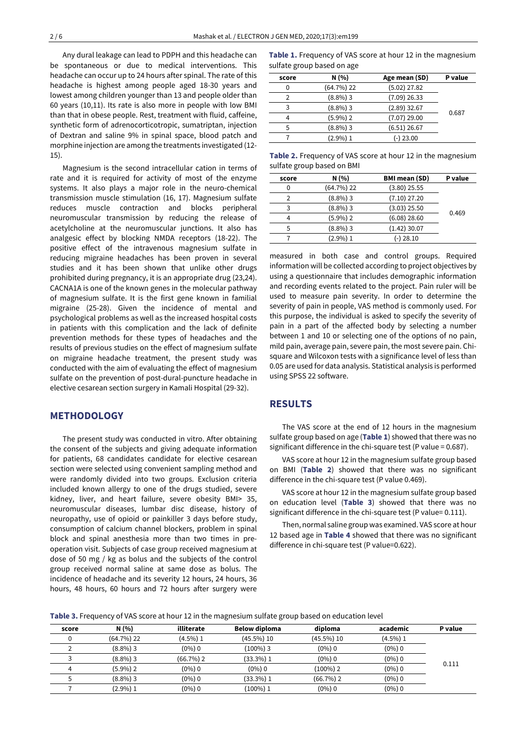Any dural leakage can lead to PDPH and this headache can be spontaneous or due to medical interventions. This headache can occur up to 24 hours after spinal. The rate of this headache is highest among people aged 18-30 years and lowest among children younger than 13 and people older than 60 years (10,11). Its rate is also more in people with low BMI than that in obese people. Rest, treatment with fluid, caffeine, synthetic form of adrenocorticotropic, sumatriptan, injection of Dextran and saline 9% in spinal space, blood patch and morphine injection are among the treatments investigated (12- 15).

Magnesium is the second intracellular cation in terms of rate and it is required for activity of most of the enzyme systems. It also plays a major role in the neuro-chemical transmission muscle stimulation (16, 17). Magnesium sulfate reduces muscle contraction and blocks peripheral neuromuscular transmission by reducing the release of acetylcholine at the neuromuscular junctions. It also has analgesic effect by blocking NMDA receptors (18-22). The positive effect of the intravenous magnesium sulfate in reducing migraine headaches has been proven in several studies and it has been shown that unlike other drugs prohibited during pregnancy, it is an appropriate drug (23,24). CACNA1A is one of the known genes in the molecular pathway of magnesium sulfate. It is the first gene known in familial migraine (25-28). Given the incidence of mental and psychological problems as well as the increased hospital costs in patients with this complication and the lack of definite prevention methods for these types of headaches and the results of previous studies on the effect of magnesium sulfate on migraine headache treatment, the present study was conducted with the aim of evaluating the effect of magnesium sulfate on the prevention of post-dural-puncture headache in elective cesarean section surgery in Kamali Hospital (29-32).

#### **METHODOLOGY**

The present study was conducted in vitro. After obtaining the consent of the subjects and giving adequate information for patients, 68 candidates candidate for elective cesarean section were selected using convenient sampling method and were randomly divided into two groups. Exclusion criteria included known allergy to one of the drugs studied, severe kidney, liver, and heart failure, severe obesity BMI> 35, neuromuscular diseases, lumbar disc disease, history of neuropathy, use of opioid or painkiller 3 days before study, consumption of calcium channel blockers, problem in spinal block and spinal anesthesia more than two times in preoperation visit. Subjects of case group received magnesium at dose of 50 mg / kg as bolus and the subjects of the control group received normal saline at same dose as bolus. The incidence of headache and its severity 12 hours, 24 hours, 36 hours, 48 hours, 60 hours and 72 hours after surgery were

**Table 1.** Frequency of VAS score at hour 12 in the magnesium sulfate group based on age

| score | N(% )       | Age mean (SD)  | P value |
|-------|-------------|----------------|---------|
| 0     | (64.7%) 22  | $(5.02)$ 27.82 |         |
| C     | $(8.8\%)$ 3 | $(7.09)$ 26.33 |         |
| 3     | $(8.8\%)$ 3 | $(2.89)$ 32.67 |         |
| 4     | $(5.9\%)$ 2 | $(7.07)$ 29.00 | 0.687   |
| 5     | $(8.8\%)$ 3 | $(6.51)$ 26.67 |         |
|       | $(2.9\%) 1$ | (-) 23.00      |         |

**Table 2.** Frequency of VAS score at hour 12 in the magnesium sulfate group based on BMI

| score        | N (%)       | <b>BMI mean (SD)</b> | P value |
|--------------|-------------|----------------------|---------|
| 0            | (64.7%) 22  | $(3.80)$ 25.55       |         |
| <sup>2</sup> | $(8.8\%)$ 3 | $(7.10)$ 27.20       |         |
| 3            | $(8.8\%)$ 3 | $(3.03)$ 25.50       |         |
| 4            | $(5.9\%)$ 2 | $(6.08)$ 28.60       | 0.469   |
| 5            | $(8.8\%)$ 3 | $(1.42)$ 30.07       |         |
|              | (2.9%) 1    | (-) 28.10            |         |

measured in both case and control groups. Required information will be collected according to project objectives by using a questionnaire that includes demographic information and recording events related to the project. Pain ruler will be used to measure pain severity. In order to determine the severity of pain in people, VAS method is commonly used. For this purpose, the individual is asked to specify the severity of pain in a part of the affected body by selecting a number between 1 and 10 or selecting one of the options of no pain, mild pain, average pain, severe pain, the most severe pain. Chisquare and Wilcoxon tests with a significance level of less than 0.05 are used for data analysis. Statistical analysis is performed using SPSS 22 software.

#### **RESULTS**

The VAS score at the end of 12 hours in the magnesium sulfate group based on age (**Table 1**) showed that there was no significant difference in the chi-square test (P value = 0.687).

VAS score at hour 12 in the magnesium sulfate group based on BMI (**Table 2**) showed that there was no significant difference in the chi-square test (P value 0.469).

VAS score at hour 12 in the magnesium sulfate group based on education level (**Table 3**) showed that there was no significant difference in the chi-square test (P value= 0.111).

Then, normal saline group was examined. VAS score at hour 12 based age in **Table 4** showed that there was no significant difference in chi-square test (P value=0.622).

**Table 3.** Frequency of VAS score at hour 12 in the magnesium sulfate group based on education level

| score | N(%)          | illiterate  | <b>Below diploma</b> | diploma       | academic    | P value |
|-------|---------------|-------------|----------------------|---------------|-------------|---------|
|       | $(64.7\%)$ 22 | $(4.5\%)$ 1 | $(45.5\%)$ 10        | $(45.5\%)$ 10 | $(4.5\%)$ 1 |         |
|       | $(8.8\%)$ 3   | $(0\%) 0$   | (100%) 3             | $(0\%)$ 0     | $(0\%)$ 0   |         |
|       | $(8.8\%)$ 3   | $(66.7%)$ 2 | $(33.3\%) 1$         | $(0\%)$ 0     | $(0\%)$ 0   |         |
|       | $(5.9\%)$ 2   | $(0\%)$ 0   | $(0\%)$ 0            | (100%) 2      | $(0\%)$ 0   | 0.111   |
|       | $(8.8\%)$ 3   | $(0\%) 0$   | $(33.3\%) 1$         | $(66.7%)$ 2   | $(0\%)0$    |         |
|       | (2.9%) 1      | $(0\%) 0$   | (100%) 1             | $(0\%)$ 0     | $(0\%)$ 0   |         |
|       |               |             |                      |               |             |         |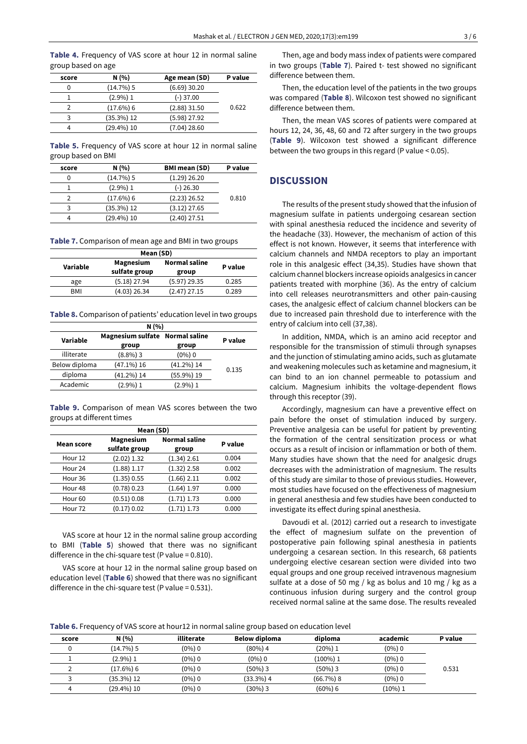**Table 4.** Frequency of VAS score at hour 12 in normal saline group based on age

| score | N (%)         | Age mean (SD)  | P value |
|-------|---------------|----------------|---------|
| 0     | $(14.7%)$ 5   | $(6.69)$ 30.20 |         |
|       | $(2.9\%) 1$   | $(-)37.00$     |         |
|       | $(17.6\%)$ 6  | $(2.88)$ 31.50 | 0.622   |
| 3     | $(35.3\%)$ 12 | $(5.98)$ 27.92 |         |
|       | $(29.4\%)$ 10 | $(7.04)$ 28.60 |         |

**Table 5.** Frequency of VAS score at hour 12 in normal saline group based on BMI

| score | N (%)         | <b>BMI mean (SD)</b> | P value |
|-------|---------------|----------------------|---------|
| 0     | $(14.7%)$ 5   | $(1.29)$ 26.20       |         |
|       | $(2.9\%)$ 1   | $(-)$ 26.30          |         |
|       | $(17.6\%)$ 6  | $(2.23)$ 26.52       | 0.810   |
| 3     | $(35.3\%)$ 12 | $(3.12)$ 27.65       |         |
| Δ     | (29.4%) 10    | $(2.40)$ 27.51       |         |

**Table 7.** Comparison of mean age and BMI in two groups

| Mean (SD)                  |                        |         |  |  |  |
|----------------------------|------------------------|---------|--|--|--|
| Magnesium<br>sulfate group | Normal saline<br>group | P value |  |  |  |
| $(5.18)$ 27.94             | $(5.97)$ 29.35         | 0.285   |  |  |  |
| $(4.03)$ 26.34             | $(2.47)$ 27.15         | 0.289   |  |  |  |
|                            |                        |         |  |  |  |

**Table 8.** Comparison of patients' education level in two groups

| Variable      | Magnesium sulfate Normal saline<br>group | group         | P value |
|---------------|------------------------------------------|---------------|---------|
| illiterate    | $(8.8\%)$ 3                              | $(0\%)$ 0     |         |
| Below diploma | $(47.1\%)$ 16                            | $(41.2\%)$ 14 | 0.135   |
| diploma       | $(41.2\%)$ 14                            | $(55.9\%)$ 19 |         |
| Academic      | $(2.9\%) 1$                              | $(2.9\%) 1$   |         |

**Table 9.** Comparison of mean VAS scores between the two groups at different times

| Mean (SD)          |                            |                               |         |  |
|--------------------|----------------------------|-------------------------------|---------|--|
| <b>Mean score</b>  | Magnesium<br>sulfate group | <b>Normal saline</b><br>group | P value |  |
| Hour <sub>12</sub> | (2.02) 1.32                | (1.34) 2.61                   | 0.004   |  |
| Hour <sub>24</sub> | (1.88) 1.17                | $(1.32)$ 2.58                 | 0.002   |  |
| Hour 36            | (1.35) 0.55                | $(1.66)$ 2.11                 | 0.002   |  |
| Hour <sub>48</sub> | (0.78) 0.23                | (1.64) 1.97                   | 0.000   |  |
| Hour <sub>60</sub> | (0.51) 0.08                | (1.71) 1.73                   | 0.000   |  |
| Hour <sub>72</sub> | (0.17) 0.02                | (1.71) 1.73                   | 0.000   |  |

VAS score at hour 12 in the normal saline group according to BMI (**Table 5**) showed that there was no significant difference in the chi-square test (P value = 0.810).

VAS score at hour 12 in the normal saline group based on education level (**Table 6**) showed that there was no significant difference in the chi-square test (P value = 0.531).

Then, age and body mass index of patients were compared in two groups (**Table 7**). Paired t- test showed no significant difference between them.

Then, the education level of the patients in the two groups was compared (**Table 8**). Wilcoxon test showed no significant difference between them.

Then, the mean VAS scores of patients were compared at hours 12, 24, 36, 48, 60 and 72 after surgery in the two groups (**Table 9**). Wilcoxon test showed a significant difference between the two groups in this regard (P value < 0.05).

#### **DISCUSSION**

The results of the present study showed that the infusion of magnesium sulfate in patients undergoing cesarean section with spinal anesthesia reduced the incidence and severity of the headache (33). However, the mechanism of action of this effect is not known. However, it seems that interference with calcium channels and NMDA receptors to play an important role in this analgesic effect (34,35). Studies have shown that calcium channel blockers increase opioids analgesics in cancer patients treated with morphine (36). As the entry of calcium into cell releases neurotransmitters and other pain-causing cases, the analgesic effect of calcium channel blockers can be due to increased pain threshold due to interference with the entry of calcium into cell (37,38).

In addition, NMDA, which is an amino acid receptor and responsible for the transmission of stimuli through synapses and the junction of stimulating amino acids, such as glutamate and weakening molecules such as ketamine and magnesium, it can bind to an ion channel permeable to potassium and calcium. Magnesium inhibits the voltage-dependent flows through this receptor (39).

Accordingly, magnesium can have a preventive effect on pain before the onset of stimulation induced by surgery. Preventive analgesia can be useful for patient by preventing the formation of the central sensitization process or what occurs as a result of incision or inflammation or both of them. Many studies have shown that the need for analgesic drugs decreases with the administration of magnesium. The results of this study are similar to those of previous studies. However, most studies have focused on the effectiveness of magnesium in general anesthesia and few studies have been conducted to investigate its effect during spinal anesthesia.

Davoudi et al. (2012) carried out a research to investigate the effect of magnesium sulfate on the prevention of postoperative pain following spinal anesthesia in patients undergoing a cesarean section. In this research, 68 patients undergoing elective cesarean section were divided into two equal groups and one group received intravenous magnesium sulfate at a dose of 50 mg / kg as bolus and 10 mg / kg as a continuous infusion during surgery and the control group received normal saline at the same dose. The results revealed

**Table 6.** Frequency of VAS score at hour12 in normal saline group based on education level

| score | N(%)         | illiterate | <b>Below diploma</b> | diploma     | academic  | P value |
|-------|--------------|------------|----------------------|-------------|-----------|---------|
|       | $(14.7\%)$ 5 | (0%) 0     | (80%) 4              | (20%)1      | $(0\%)$ 0 |         |
|       | $(2.9\%)$ 1  | $(0\%)$ 0  | $(0\%) 0$            | $(100\%)1$  | $(0\%)$ 0 |         |
|       | $(17.6\%)$ 6 | $(0\%)$ 0  | (50%) 3              | $(50\%)$ 3  | $(0\%)$ 0 | 0.531   |
|       | (35.3%) 12   | $(0\%)$ 0  | (33.3%) 4            | $(66.7%)$ 8 | $(0\%)$ 0 |         |
|       | (29.4%) 10   | (0%) 0     | (30%) 3              | (60%) 6     | (10%) 1   |         |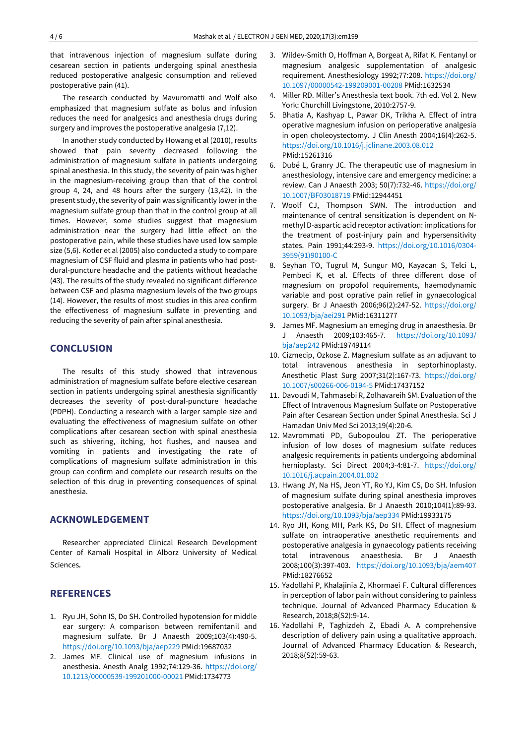that intravenous injection of magnesium sulfate during cesarean section in patients undergoing spinal anesthesia reduced postoperative analgesic consumption and relieved postoperative pain (41).

The research conducted by Mavuromatti and Wolf also emphasized that magnesium sulfate as bolus and infusion reduces the need for analgesics and anesthesia drugs during surgery and improves the postoperative analgesia (7,12).

In another study conducted by Howang et al (2010), results showed that pain severity decreased following the administration of magnesium sulfate in patients undergoing spinal anesthesia. In this study, the severity of pain was higher in the magnesium-receiving group than that of the control group 4, 24, and 48 hours after the surgery (13,42). In the present study, the severity of pain was significantly lower in the magnesium sulfate group than that in the control group at all times. However, some studies suggest that magnesium administration near the surgery had little effect on the postoperative pain, while these studies have used low sample size (5,6). Kotler et al (2005) also conducted a study to compare magnesium of CSF fluid and plasma in patients who had postdural-puncture headache and the patients without headache (43). The results of the study revealed no significant difference between CSF and plasma magnesium levels of the two groups (14). However, the results of most studies in this area confirm the effectiveness of magnesium sulfate in preventing and reducing the severity of pain after spinal anesthesia.

## **CONCLUSION**

The results of this study showed that intravenous administration of magnesium sulfate before elective cesarean section in patients undergoing spinal anesthesia significantly decreases the severity of post-dural-puncture headache (PDPH). Conducting a research with a larger sample size and evaluating the effectiveness of magnesium sulfate on other complications after cesarean section with spinal anesthesia such as shivering, itching, hot flushes, and nausea and vomiting in patients and investigating the rate of complications of magnesium sulfate administration in this group can confirm and complete our research results on the selection of this drug in preventing consequences of spinal anesthesia.

# **ACKNOWLEDGEMENT**

Researcher appreciated Clinical Research Development Center of Kamali Hospital in Alborz University of Medical Sciences*.*

# **REFERENCES**

- 1. Ryu JH, Sohn IS, Do SH. Controlled hypotension for middle ear surgery: A comparison between remifentanil and magnesium sulfate. Br J Anaesth 2009;103(4):490-5. <https://doi.org/10.1093/bja/aep229> PMid:19687032
- 2. James MF. Clinical use of magnesium infusions in anesthesia. Anesth Analg 1992;74:129-36. [https://doi.org/](https://doi.org/10.1213/00000539-199201000-00021) [10.1213/00000539-199201000-00021](https://doi.org/10.1213/00000539-199201000-00021) PMid:1734773
- 3. Wildev-Smith O, Hoffman A, Borgeat A, Rifat K. Fentanyl or magnesium analgesic supplementation of analgesic requirement. Anesthesiology 1992;77:208. [https://doi.org/](https://doi.org/10.1097/00000542-199209001-00208) [10.1097/00000542-199209001-00208](https://doi.org/10.1097/00000542-199209001-00208) PMid:1632534
- 4. Miller RD. Miller's Anesthesia text book. 7th ed. Vol 2. New York: Churchill Livingstone, 2010:2757-9.
- 5. Bhatia A, Kashyap L, Pawar DK, Trikha A. Effect of intra operative magnesium infusion on perioperative analgesia in open choleoystectomy. J Clin Anesth 2004;16(4):262-5. <https://doi.org/10.1016/j.jclinane.2003.08.012> PMid:15261316
- 6. Dubé L, Granry JC. The therapeutic use of magnesium in anesthesiology, intensive care and emergency medicine: a review. Can J Anaesth 2003; 50(7):732-46. [https://doi.org/](https://doi.org/10.1007/BF03018719) [10.1007/BF03018719](https://doi.org/10.1007/BF03018719) PMid:12944451
- 7. Woolf CJ, Thompson SWN. The introduction and maintenance of central sensitization is dependent on Nmethyl D-aspartic acid receptor activation: implications for the treatment of post-injury pain and hypersensitivity states. Pain 1991;44:293-9. [https://doi.org/10.1016/0304-](https://doi.org/10.1016/0304-3959(91)90100-C) [3959\(91\)90100-C](https://doi.org/10.1016/0304-3959(91)90100-C)
- 8. Seyhan TO, Tugrul M, Sungur MO, Kayacan S, Telci L, Pembeci K, et al. Effects of three different dose of magnesium on propofol requirements, haemodynamic variable and post oprative pain relief in gynaecological surgery. Br J Anaesth 2006;96(2):247-52. [https://doi.org/](https://doi.org/10.1093/bja/aei291) [10.1093/bja/aei291](https://doi.org/10.1093/bja/aei291) PMid:16311277
- 9. James MF. Magnesium an emeging drug in anaesthesia. Br J Anaesth 2009;103:465-7. [https://doi.org/10.1093/](https://doi.org/10.1093/bja/aep242) [bja/aep242](https://doi.org/10.1093/bja/aep242) PMid:19749114
- 10. Cizmecip, Ozkose Z. Magnesium sulfate as an adjuvant to total intravenous anesthesia in septorhinoplasty. Anesthetic Plast Surg 2007;31(2):167-73. [https://doi.org/](https://doi.org/10.1007/s00266-006-0194-5) [10.1007/s00266-006-0194-5](https://doi.org/10.1007/s00266-006-0194-5) PMid:17437152
- 11. Davoudi M, Tahmasebi R, Zolhavareih SM. Evaluation ofthe Effect of Intravenous Magnesium Sulfate on Postoperative Pain after Cesarean Section under Spinal Anesthesia. Sci J Hamadan Univ Med Sci 2013;19(4):20-6.
- 12. Mavrommati PD, Gubopoulou ZT. The perioperative infusion of low doses of magnesium sulfate reduces analgesic requirements in patients undergoing abdominal hernioplasty. Sci Direct 2004;3-4:81-7. [https://doi.org/](https://doi.org/10.1016/j.acpain.2004.01.002) [10.1016/j.acpain.2004.01.002](https://doi.org/10.1016/j.acpain.2004.01.002)
- 13. Hwang JY, Na HS, Jeon YT, Ro YJ, Kim CS, Do SH. Infusion of magnesium sulfate during spinal anesthesia improves postoperative analgesia. Br J Anaesth 2010;104(1):89-93. <https://doi.org/10.1093/bja/aep334> PMid:19933175
- 14. Ryo JH, Kong MH, Park KS, Do SH. Effect of magnesium sulfate on intraoperative anesthetic requirements and postoperative analgesia in gynaecology patients receiving total intravenous anaesthesia. Br J Anaesth 2008;100(3):397-403. <https://doi.org/10.1093/bja/aem407> PMid:18276652
- 15. Yadollahi P, Khalajinia Z, Khormaei F. Cultural differences in perception of labor pain without considering to painless technique. Journal of Advanced Pharmacy Education & Research, 2018;8(S2):9-14.
- 16. Yadollahi P, Taghizdeh Z, Ebadi A. A comprehensive description of delivery pain using a qualitative approach. Journal of Advanced Pharmacy Education & Research, 2018;8(S2):59-63.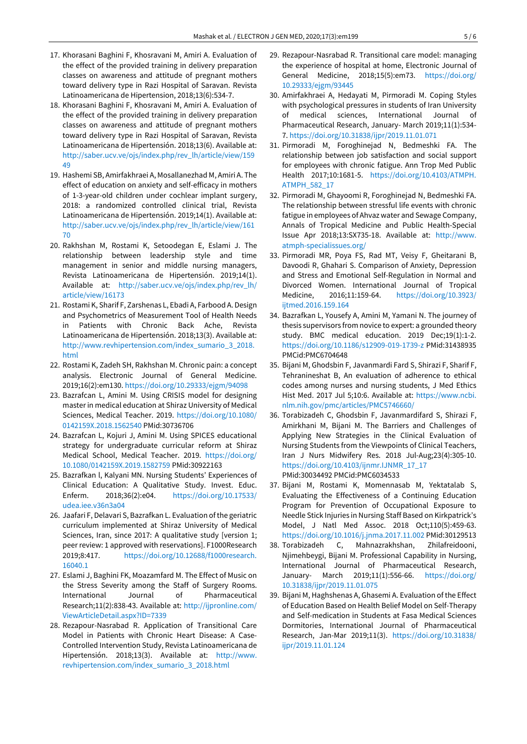- 17. Khorasani Baghini F, Khosravani M, Amiri A. Evaluation of the effect of the provided training in delivery preparation classes on awareness and attitude of pregnant mothers toward delivery type in Razi Hospital of Saravan. Revista Latinoamericana de Hipertension, 2018;13(6):534-7.
- 18. Khorasani Baghini F, Khosravani M, Amiri A. Evaluation of the effect of the provided training in delivery preparation classes on awareness and attitude of pregnant mothers toward delivery type in Razi Hospital of Saravan, Revista Latinoamericana de Hipertensión. 2018;13(6). Available at: [http://saber.ucv.ve/ojs/index.php/rev\\_lh/article/view/159](http://saber.ucv.ve/ojs/index.php/rev_lh/article/view/15949) [49](http://saber.ucv.ve/ojs/index.php/rev_lh/article/view/15949)
- 19. Hashemi SB, Amirfakhraei A, Mosallanezhad M, Amiri A. The effect of education on anxiety and self-efficacy in mothers of 1-3-year-old children under cochlear implant surgery, 2018: a randomized controlled clinical trial, Revista Latinoamericana de Hipertensión. 2019;14(1). Available at: [http://saber.ucv.ve/ojs/index.php/rev\\_lh/article/view/161](http://saber.ucv.ve/ojs/index.php/rev_lh/article/view/16170) [70](http://saber.ucv.ve/ojs/index.php/rev_lh/article/view/16170)
- 20. Rakhshan M, Rostami K, Setoodegan E, Eslami J. The relationship between leadership style and time management in senior and middle nursing managers, Revista Latinoamericana de Hipertensión. 2019;14(1). Available at: [http://saber.ucv.ve/ojs/index.php/rev\\_lh/](http://saber.ucv.ve/ojs/index.php/rev_lh/article/view/16173) [article/view/16173](http://saber.ucv.ve/ojs/index.php/rev_lh/article/view/16173)
- 21. Rostami K, Sharif F, Zarshenas L, Ebadi A, Farbood A.Design and Psychometrics of Measurement Tool of Health Needs in Patients with Chronic Back Ache, Revista Latinoamericana de Hipertensión. 2018;13(3). Available at: [http://www.revhipertension.com/index\\_sumario\\_3\\_2018.](http://www.revhipertension.com/index_sumario_3_2018.html) [html](http://www.revhipertension.com/index_sumario_3_2018.html)
- 22. Rostami K, Zadeh SH, Rakhshan M. Chronic pain: a concept analysis. Electronic Journal of General Medicine. 2019;16(2):em130. <https://doi.org/10.29333/ejgm/94098>
- 23. Bazrafcan L, Amini M. Using CRISIS model for designing masterin medical education at Shiraz University of Medical Sciences, Medical Teacher. 2019. [https://doi.org/10.1080/](https://doi.org/10.1080/0142159X.2018.1562540) [0142159X.2018.1562540](https://doi.org/10.1080/0142159X.2018.1562540) PMid:30736706
- 24. Bazrafcan L, Kojuri J, Amini M. Using SPICES educational strategy for undergraduate curricular reform at Shiraz Medical School, Medical Teacher. 2019. [https://doi.org/](https://doi.org/10.1080/0142159X.2019.1582759) [10.1080/0142159X.2019.1582759](https://doi.org/10.1080/0142159X.2019.1582759) PMid:30922163
- 25. Bazrafkan l, Kalyani MN. Nursing Students' Experiences of Clinical Education: A Qualitative Study. Invest. Educ. Enferm. 2018;36(2):e04. [https://doi.org/10.17533/](https://doi.org/10.17533/udea.iee.v36n3a04) [udea.iee.v36n3a04](https://doi.org/10.17533/udea.iee.v36n3a04)
- 26. Jaafari F, Delavari S, Bazrafkan L. Evaluation ofthe geriatric curriculum implemented at Shiraz University of Medical Sciences, Iran, since 2017: A qualitative study [version 1; peer review: 1 approved with reservations]. F1000Research 2019;8:417. [https://doi.org/10.12688/f1000research.](https://doi.org/10.12688/f1000research.16040.1) [16040.1](https://doi.org/10.12688/f1000research.16040.1)
- 27. Eslami J, Baghini FK, Moazamfard M. The Effect of Music on the Stress Severity among the Staff of Surgery Rooms. International Journal of Pharmaceutical Research;11(2):838-43. Available at: [http://ijpronline.com/](http://ijpronline.com/ViewArticleDetail.aspx?ID=7339) [ViewArticleDetail.aspx?ID=7339](http://ijpronline.com/ViewArticleDetail.aspx?ID=7339)
- 28. Rezapour-Nasrabad R. Application of Transitional Care Model in Patients with Chronic Heart Disease: A Case-Controlled Intervention Study, Revista Latinoamericana de Hipertensión. 2018;13(3). Available at: [http://www.](http://www.revhipertension.com/index_sumario_3_2018.html) [revhipertension.com/index\\_sumario\\_3\\_2018.html](http://www.revhipertension.com/index_sumario_3_2018.html)
- 29. Rezapour-Nasrabad R. Transitional care model: managing the experience of hospital at home, Electronic Journal of General Medicine, 2018;15(5):em73. [https://doi.org/](https://doi.org/10.29333/ejgm/93445) [10.29333/ejgm/93445](https://doi.org/10.29333/ejgm/93445)
- 30. Amirfakhraei A, Hedayati M, Pirmoradi M. Coping Styles with psychological pressures in students of Iran University of medical sciences, International Journal of Pharmaceutical Research, January- March 2019;11(1):534- 7. <https://doi.org/10.31838/ijpr/2019.11.01.071>
- 31. Pirmoradi M, Foroghinejad N, Bedmeshki FA. The relationship between job satisfaction and social support for employees with chronic fatigue. Ann Trop Med Public Health 2017;10:1681-5. [https://doi.org/10.4103/ATMPH.](https://doi.org/10.4103/ATMPH.ATMPH_582_17) [ATMPH\\_582\\_17](https://doi.org/10.4103/ATMPH.ATMPH_582_17)
- 32. Pirmoradi M, Ghayoomi R, Foroghinejad N, Bedmeshki FA. The relationship between stressful life events with chronic fatigue in employees of Ahvaz water and Sewage Company, Annals of Tropical Medicine and Public Health-Special Issue Apr 2018;13:SX735-18. Available at: [http://www.](http://www.atmph-specialissues.org/) [atmph-specialissues.org/](http://www.atmph-specialissues.org/)
- 33. Pirmoradi MR, Poya FS, Rad MT, Veisy F, Gheitarani B, Davoodi R, Ghahari S. Comparison of Anxiety, Depression and Stress and Emotional Self-Regulation in Normal and Divorced Women. International Journal of Tropical Medicine, 2016;11:159-64. [https://doi.org/10.3923/](https://doi.org/10.3923/ijtmed.2016.159.164) [ijtmed.2016.159.164](https://doi.org/10.3923/ijtmed.2016.159.164)
- 34. Bazrafkan L, Yousefy A, Amini M, Yamani N. The journey of thesis supervisors from novice to expert: a grounded theory study. BMC medical education. 2019 Dec;19(1):1-2. <https://doi.org/10.1186/s12909-019-1739-z> PMid:31438935 PMCid:PMC6704648
- 35. Bijani M, Ghodsbin F, Javanmardi Fard S, Shirazi F, Sharif F, Tehranineshat B, An evaluation of adherence to ethical codes among nurses and nursing students, J Med Ethics Hist Med. 2017 Jul 5;10:6. Available at: [https://www.ncbi.](https://www.ncbi.nlm.nih.gov/pmc/articles/PMC5746660/) [nlm.nih.gov/pmc/articles/PMC5746660/](https://www.ncbi.nlm.nih.gov/pmc/articles/PMC5746660/)
- 36. Torabizadeh C, Ghodsbin F, Javanmardifard S, Shirazi F, Amirkhani M, Bijani M. The Barriers and Challenges of Applying New Strategies in the Clinical Evaluation of Nursing Students from the Viewpoints of Clinical Teachers, Iran J Nurs Midwifery Res. 2018 Jul-Aug;23(4):305-10. [https://doi.org/10.4103/ijnmr.IJNMR\\_17\\_17](https://doi.org/10.4103/ijnmr.IJNMR_17_17) PMid:30034492 PMCid:PMC6034533
- 37. Bijani M, Rostami K, Momennasab M, Yektatalab S, Evaluating the Effectiveness of a Continuing Education Program for Prevention of Occupational Exposure to Needle Stick Injuries in Nursing Staff Based on Kirkpatrick's Model, J Natl Med Assoc. 2018 Oct;110(5):459-63. <https://doi.org/10.1016/j.jnma.2017.11.002> PMid:30129513
- 38. Torabizadeh C, Mahnazrakhshan, Zhilafreidooni, Njimehbeygi, Bijani M. Professional Capability in Nursing, International Journal of Pharmaceutical Research, January- March 2019;11(1):556-66. [https://doi.org/](https://doi.org/10.31838/ijpr/2019.11.01.075) [10.31838/ijpr/2019.11.01.075](https://doi.org/10.31838/ijpr/2019.11.01.075)
- 39. Bijani M, Haghshenas A, Ghasemi A. Evaluation of the Effect of Education Based on Health Belief Model on Self-Therapy and Self-medication in Students at Fasa Medical Sciences Dormitories, International Journal of Pharmaceutical Research, Jan-Mar 2019;11(3). [https://doi.org/10.31838/](https://doi.org/10.31838/ijpr/2019.11.01.124) [ijpr/2019.11.01.124](https://doi.org/10.31838/ijpr/2019.11.01.124)